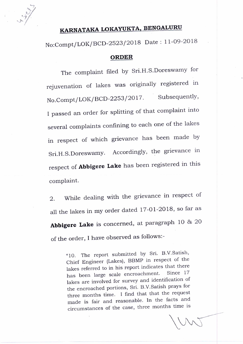$U_{\rm a}$ 

## **KARNATAKA LOKAYUKTA, BENGALURU**

No:Compt/LOK/BCD -2523/2018 Date : 11 -09-<sup>2018</sup>

## **ORDER**

The complaint filed by Sri.H.S.Doreswamy for rejuvenation of lakes was originally registered in No.Compt/LOK/BCD-2253/2017. Subsequently, I passed an order for splitting of that complaint into several complaints confining to each one of the lakes in respect of which grievance has been made by Sri.H.S.Doreswamy. Accordingly, the grievance in respect of **Abbigere Lake** has been registered in this complaint.

2. While dealing with the grievance in respect of all the lakes in my order dated 17-01-2018, so far as Abbigere Lake is concerned, at paragraph 10 & 20 of the order, I have observed as follows:-

> "10. The report submitted by Sri. B.V.Satish, Chief Engineer (Lakes), BBMP in respect of the lakes referred to in his report indicates that there has been large scale encroachment. lakes are involved for survey and identification of the encroached portions, Sri. B.V.Satish prays for three months time. I find that that the request made is fair and reasonable. In the facts and circumstances of the case, three months time is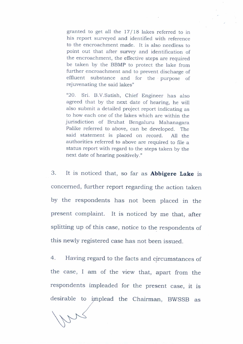granted to get all the 17/18 lakes referred to in his report surveyed and identified with reference to the encroachment made. It is also needless to point out that after survey and identification of the encroachment, the effective steps are required be taken by the BBMP to protect the lake from further encroachment and to prevent discharge of effluent substance and for the purpose of rejuvenating the said lakes"

"20. Sri. B.V.Satish, Chief Engineer has also agreed that by the next date of hearing, he will also submit a detailed project report indicating as to how each one of the lakes which are within the jurisdiction of Bruhat Bengaluru Mahanagara Palike referred to above, can be developed. The said statement is placed on record. All the authorities referred to above are required to file a status report with regard to the steps taken by the next date of hearing positively."

3. It is noticed that, so far as **Abbigere Lake** is concerned, further report regarding the action taken by the respondents has not been placed in the present complaint. It is noticed by me that, after splitting up of this case, notice to the respondents of this newly registered case has not been issued.

4. Having regard to the facts and circumstances of the case, I am of the view that, apart from the respondents impleaded for the present case, it is desirable to implead the Chairman, BWSSB as